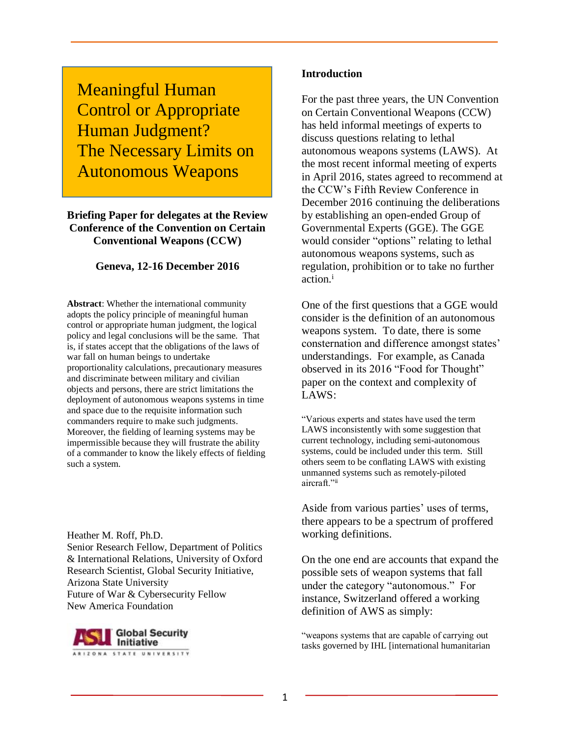Meaningful Human Control or Appropriate Human Judgment? The Necessary Limits on Autonomous Weapons

### **Briefing Paper for delegates at the Review Conference of the Convention on Certain Conventional Weapons (CCW)**

### **Geneva, 12-16 December 2016**

**Abstract**: Whether the international community adopts the policy principle of meaningful human control or appropriate human judgment, the logical policy and legal conclusions will be the same. That is, if states accept that the obligations of the laws of war fall on human beings to undertake proportionality calculations, precautionary measures and discriminate between military and civilian objects and persons, there are strict limitations the deployment of autonomous weapons systems in time and space due to the requisite information such commanders require to make such judgments. Moreover, the fielding of learning systems may be impermissible because they will frustrate the ability of a commander to know the likely effects of fielding such a system.

Heather M. Roff, Ph.D. Senior Research Fellow, Department of Politics & International Relations, University of Oxford Research Scientist, Global Security Initiative, Arizona State University Future of War & Cybersecurity Fellow New America Foundation



#### **Introduction**

For the past three years, the UN Convention on Certain Conventional Weapons (CCW) has held informal meetings of experts to discuss questions relating to lethal autonomous weapons systems (LAWS). At the most recent informal meeting of experts in April 2016, states agreed to recommend at the CCW's Fifth Review Conference in December 2016 continuing the deliberations by establishing an open-ended Group of Governmental Experts (GGE). The GGE would consider "options" relating to lethal autonomous weapons systems, such as regulation, prohibition or to take no further action.<sup>i</sup>

One of the first questions that a GGE would consider is the definition of an autonomous weapons system. To date, there is some consternation and difference amongst states' understandings. For example, as Canada observed in its 2016 "Food for Thought" paper on the context and complexity of LAWS:

"Various experts and states have used the term LAWS inconsistently with some suggestion that current technology, including semi-autonomous systems, could be included under this term. Still others seem to be conflating LAWS with existing unmanned systems such as remotely-piloted aircraft."<sup>ii</sup>

Aside from various parties' uses of terms, there appears to be a spectrum of proffered working definitions.

On the one end are accounts that expand the possible sets of weapon systems that fall under the category "autonomous." For instance, Switzerland offered a working definition of AWS as simply:

"weapons systems that are capable of carrying out tasks governed by IHL [international humanitarian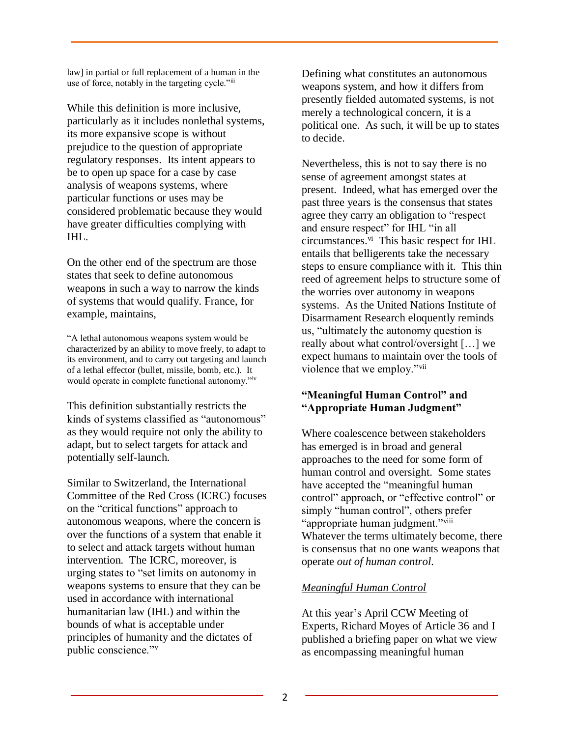law] in partial or full replacement of a human in the use of force, notably in the targeting cycle."iii

While this definition is more inclusive, particularly as it includes nonlethal systems, its more expansive scope is without prejudice to the question of appropriate regulatory responses. Its intent appears to be to open up space for a case by case analysis of weapons systems, where particular functions or uses may be considered problematic because they would have greater difficulties complying with IHL.

On the other end of the spectrum are those states that seek to define autonomous weapons in such a way to narrow the kinds of systems that would qualify. France, for example, maintains,

"A lethal autonomous weapons system would be characterized by an ability to move freely, to adapt to its environment, and to carry out targeting and launch of a lethal effector (bullet, missile, bomb, etc.). It would operate in complete functional autonomy."iv

This definition substantially restricts the kinds of systems classified as "autonomous" as they would require not only the ability to adapt, but to select targets for attack and potentially self-launch.

Similar to Switzerland, the International Committee of the Red Cross (ICRC) focuses on the "critical functions" approach to autonomous weapons, where the concern is over the functions of a system that enable it to select and attack targets without human intervention. The ICRC, moreover, is urging states to "set limits on autonomy in weapons systems to ensure that they can be used in accordance with international humanitarian law (IHL) and within the bounds of what is acceptable under principles of humanity and the dictates of public conscience."<sup>v</sup>

Defining what constitutes an autonomous weapons system, and how it differs from presently fielded automated systems, is not merely a technological concern, it is a political one. As such, it will be up to states to decide.

Nevertheless, this is not to say there is no sense of agreement amongst states at present. Indeed, what has emerged over the past three years is the consensus that states agree they carry an obligation to "respect and ensure respect" for IHL "in all circumstances.<sup>vi</sup> This basic respect for IHL entails that belligerents take the necessary steps to ensure compliance with it. This thin reed of agreement helps to structure some of the worries over autonomy in weapons systems. As the United Nations Institute of Disarmament Research eloquently reminds us, "ultimately the autonomy question is really about what control/oversight […] we expect humans to maintain over the tools of violence that we employ."vii

# **"Meaningful Human Control" and "Appropriate Human Judgment"**

Where coalescence between stakeholders has emerged is in broad and general approaches to the need for some form of human control and oversight. Some states have accepted the "meaningful human control" approach, or "effective control" or simply "human control", others prefer "appropriate human judgment."<sup>viii</sup> Whatever the terms ultimately become, there is consensus that no one wants weapons that operate *out of human control*.

# *Meaningful Human Control*

At this year's April CCW Meeting of Experts, Richard Moyes of Article 36 and I published a briefing paper on what we view as encompassing meaningful human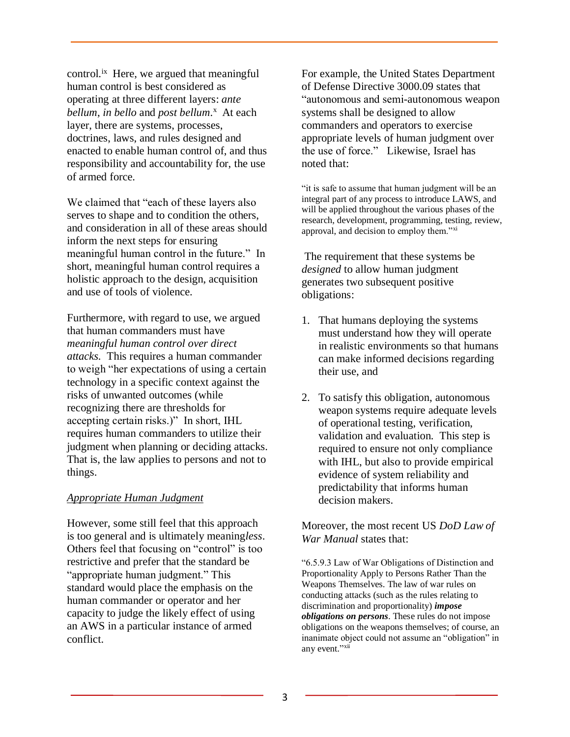control.<sup>ix</sup> Here, we argued that meaningful human control is best considered as operating at three different layers: *ante*  bellum, in bello and post bellum.<sup>x</sup> At each layer, there are systems, processes, doctrines, laws, and rules designed and enacted to enable human control of, and thus responsibility and accountability for, the use of armed force.

We claimed that "each of these layers also serves to shape and to condition the others, and consideration in all of these areas should inform the next steps for ensuring meaningful human control in the future." In short, meaningful human control requires a holistic approach to the design, acquisition and use of tools of violence.

Furthermore, with regard to use, we argued that human commanders must have *meaningful human control over direct attacks.* This requires a human commander to weigh "her expectations of using a certain technology in a specific context against the risks of unwanted outcomes (while recognizing there are thresholds for accepting certain risks.)" In short, IHL requires human commanders to utilize their judgment when planning or deciding attacks. That is, the law applies to persons and not to things.

### *Appropriate Human Judgment*

However, some still feel that this approach is too general and is ultimately meaning*less*. Others feel that focusing on "control" is too restrictive and prefer that the standard be "appropriate human judgment." This standard would place the emphasis on the human commander or operator and her capacity to judge the likely effect of using an AWS in a particular instance of armed conflict.

For example, the United States Department of Defense Directive 3000.09 states that "autonomous and semi-autonomous weapon systems shall be designed to allow commanders and operators to exercise appropriate levels of human judgment over the use of force." Likewise, Israel has noted that:

"it is safe to assume that human judgment will be an integral part of any process to introduce LAWS, and will be applied throughout the various phases of the research, development, programming, testing, review, approval, and decision to employ them."xi

The requirement that these systems be *designed* to allow human judgment generates two subsequent positive obligations:

- 1. That humans deploying the systems must understand how they will operate in realistic environments so that humans can make informed decisions regarding their use, and
- 2. To satisfy this obligation, autonomous weapon systems require adequate levels of operational testing, verification, validation and evaluation. This step is required to ensure not only compliance with IHL, but also to provide empirical evidence of system reliability and predictability that informs human decision makers.

Moreover, the most recent US *DoD Law of War Manual* states that:

"6.5.9.3 Law of War Obligations of Distinction and Proportionality Apply to Persons Rather Than the Weapons Themselves. The law of war rules on conducting attacks (such as the rules relating to discrimination and proportionality) *impose obligations on persons*. These rules do not impose obligations on the weapons themselves; of course, an inanimate object could not assume an "obligation" in any event."<sup>xii</sup>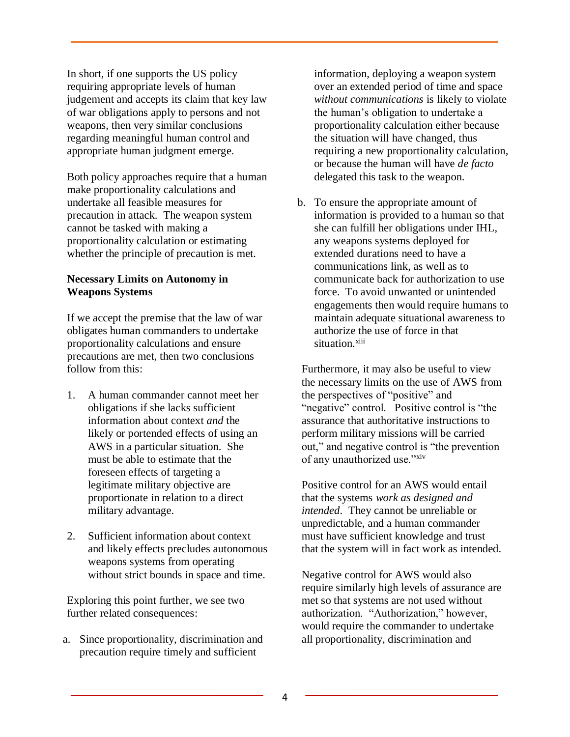In short, if one supports the US policy requiring appropriate levels of human judgement and accepts its claim that key law of war obligations apply to persons and not weapons, then very similar conclusions regarding meaningful human control and appropriate human judgment emerge.

Both policy approaches require that a human make proportionality calculations and undertake all feasible measures for precaution in attack. The weapon system cannot be tasked with making a proportionality calculation or estimating whether the principle of precaution is met.

### **Necessary Limits on Autonomy in Weapons Systems**

If we accept the premise that the law of war obligates human commanders to undertake proportionality calculations and ensure precautions are met, then two conclusions follow from this:

- 1. A human commander cannot meet her obligations if she lacks sufficient information about context *and* the likely or portended effects of using an AWS in a particular situation. She must be able to estimate that the foreseen effects of targeting a legitimate military objective are proportionate in relation to a direct military advantage.
- 2. Sufficient information about context and likely effects precludes autonomous weapons systems from operating without strict bounds in space and time.

Exploring this point further, we see two further related consequences:

a. Since proportionality, discrimination and precaution require timely and sufficient

information, deploying a weapon system over an extended period of time and space *without communications* is likely to violate the human's obligation to undertake a proportionality calculation either because the situation will have changed, thus requiring a new proportionality calculation, or because the human will have *de facto* delegated this task to the weapon.

b. To ensure the appropriate amount of information is provided to a human so that she can fulfill her obligations under IHL, any weapons systems deployed for extended durations need to have a communications link, as well as to communicate back for authorization to use force. To avoid unwanted or unintended engagements then would require humans to maintain adequate situational awareness to authorize the use of force in that situation.<sup>xiii</sup>

Furthermore, it may also be useful to view the necessary limits on the use of AWS from the perspectives of "positive" and "negative" control. Positive control is "the assurance that authoritative instructions to perform military missions will be carried out," and negative control is "the prevention of any unauthorized use."xiv

Positive control for an AWS would entail that the systems *work as designed and intended*. They cannot be unreliable or unpredictable, and a human commander must have sufficient knowledge and trust that the system will in fact work as intended.

Negative control for AWS would also require similarly high levels of assurance are met so that systems are not used without authorization. "Authorization," however, would require the commander to undertake all proportionality, discrimination and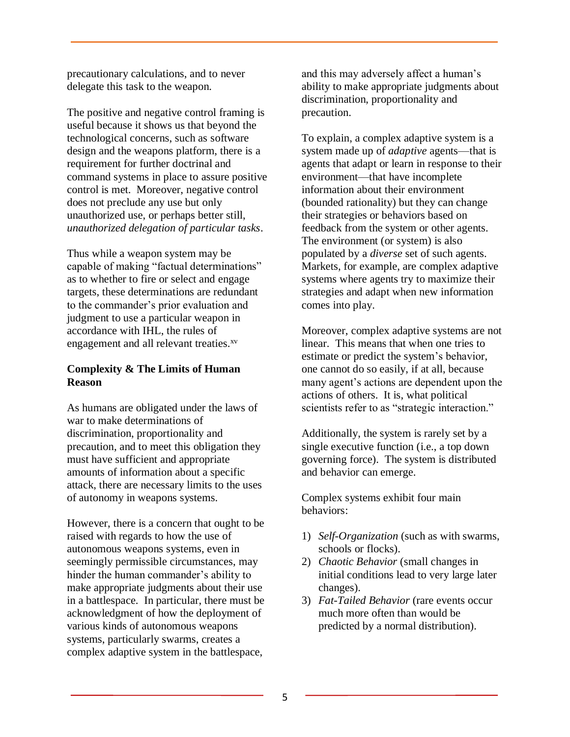precautionary calculations, and to never delegate this task to the weapon.

The positive and negative control framing is useful because it shows us that beyond the technological concerns, such as software design and the weapons platform, there is a requirement for further doctrinal and command systems in place to assure positive control is met. Moreover, negative control does not preclude any use but only unauthorized use, or perhaps better still, *unauthorized delegation of particular tasks*.

Thus while a weapon system may be capable of making "factual determinations" as to whether to fire or select and engage targets, these determinations are redundant to the commander's prior evaluation and judgment to use a particular weapon in accordance with IHL, the rules of engagement and all relevant treaties.<sup>xv</sup>

# **Complexity & The Limits of Human Reason**

As humans are obligated under the laws of war to make determinations of discrimination, proportionality and precaution, and to meet this obligation they must have sufficient and appropriate amounts of information about a specific attack, there are necessary limits to the uses of autonomy in weapons systems.

However, there is a concern that ought to be raised with regards to how the use of autonomous weapons systems, even in seemingly permissible circumstances, may hinder the human commander's ability to make appropriate judgments about their use in a battlespace. In particular, there must be acknowledgment of how the deployment of various kinds of autonomous weapons systems, particularly swarms, creates a complex adaptive system in the battlespace,

and this may adversely affect a human's ability to make appropriate judgments about discrimination, proportionality and precaution.

To explain, a complex adaptive system is a system made up of *adaptive* agents—that is agents that adapt or learn in response to their environment—that have incomplete information about their environment (bounded rationality) but they can change their strategies or behaviors based on feedback from the system or other agents. The environment (or system) is also populated by a *diverse* set of such agents. Markets, for example, are complex adaptive systems where agents try to maximize their strategies and adapt when new information comes into play.

Moreover, complex adaptive systems are not linear. This means that when one tries to estimate or predict the system's behavior, one cannot do so easily, if at all, because many agent's actions are dependent upon the actions of others. It is, what political scientists refer to as "strategic interaction."

Additionally, the system is rarely set by a single executive function (i.e., a top down governing force). The system is distributed and behavior can emerge.

Complex systems exhibit four main behaviors:

- 1) *Self-Organization* (such as with swarms, schools or flocks).
- 2) *Chaotic Behavior* (small changes in initial conditions lead to very large later changes).
- 3) *Fat-Tailed Behavior* (rare events occur much more often than would be predicted by a normal distribution).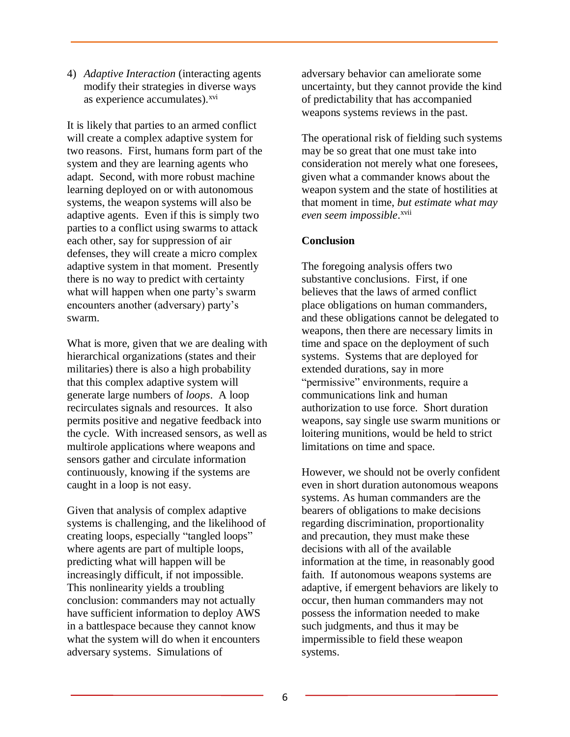4) *Adaptive Interaction* (interacting agents modify their strategies in diverse ways as experience accumulates).<sup>xvi</sup>

It is likely that parties to an armed conflict will create a complex adaptive system for two reasons. First, humans form part of the system and they are learning agents who adapt. Second, with more robust machine learning deployed on or with autonomous systems, the weapon systems will also be adaptive agents. Even if this is simply two parties to a conflict using swarms to attack each other, say for suppression of air defenses, they will create a micro complex adaptive system in that moment. Presently there is no way to predict with certainty what will happen when one party's swarm encounters another (adversary) party's swarm.

What is more, given that we are dealing with hierarchical organizations (states and their militaries) there is also a high probability that this complex adaptive system will generate large numbers of *loops*. A loop recirculates signals and resources. It also permits positive and negative feedback into the cycle. With increased sensors, as well as multirole applications where weapons and sensors gather and circulate information continuously, knowing if the systems are caught in a loop is not easy.

Given that analysis of complex adaptive systems is challenging, and the likelihood of creating loops, especially "tangled loops" where agents are part of multiple loops, predicting what will happen will be increasingly difficult, if not impossible. This nonlinearity yields a troubling conclusion: commanders may not actually have sufficient information to deploy AWS in a battlespace because they cannot know what the system will do when it encounters adversary systems. Simulations of

adversary behavior can ameliorate some uncertainty, but they cannot provide the kind of predictability that has accompanied weapons systems reviews in the past.

The operational risk of fielding such systems may be so great that one must take into consideration not merely what one foresees, given what a commander knows about the weapon system and the state of hostilities at that moment in time, *but estimate what may even seem impossible*. xvii

# **Conclusion**

The foregoing analysis offers two substantive conclusions. First, if one believes that the laws of armed conflict place obligations on human commanders, and these obligations cannot be delegated to weapons, then there are necessary limits in time and space on the deployment of such systems. Systems that are deployed for extended durations, say in more "permissive" environments, require a communications link and human authorization to use force. Short duration weapons, say single use swarm munitions or loitering munitions, would be held to strict limitations on time and space.

However, we should not be overly confident even in short duration autonomous weapons systems. As human commanders are the bearers of obligations to make decisions regarding discrimination, proportionality and precaution, they must make these decisions with all of the available information at the time, in reasonably good faith. If autonomous weapons systems are adaptive, if emergent behaviors are likely to occur, then human commanders may not possess the information needed to make such judgments, and thus it may be impermissible to field these weapon systems.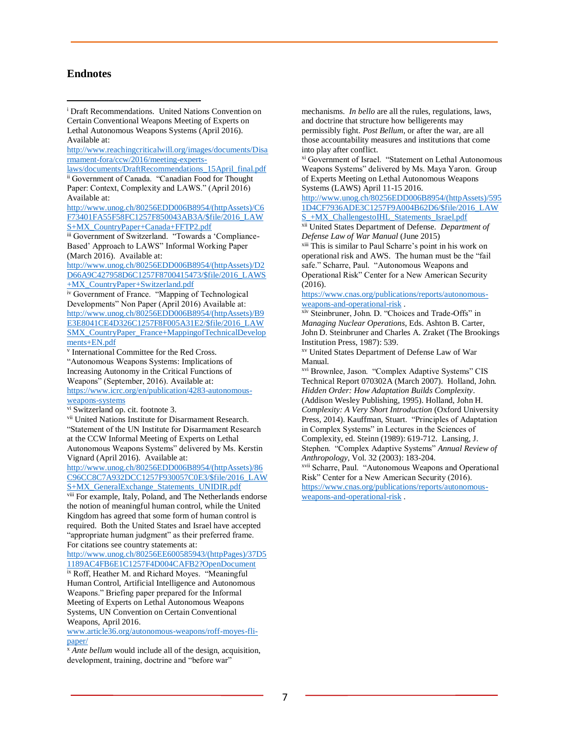### **Endnotes**

 $\overline{a}$ 

<sup>i</sup> Draft Recommendations. United Nations Convention on Certain Conventional Weapons Meeting of Experts on Lethal Autonomous Weapons Systems (April 2016). Available at:

[http://www.reachingcriticalwill.org/images/documents/Disa](http://www.reachingcriticalwill.org/images/documents/Disarmament-fora/ccw/2016/meeting-experts-laws/documents/DraftRecommendations_15April_final.pdf) [rmament-fora/ccw/2016/meeting-experts-](http://www.reachingcriticalwill.org/images/documents/Disarmament-fora/ccw/2016/meeting-experts-laws/documents/DraftRecommendations_15April_final.pdf)

[laws/documents/DraftRecommendations\\_15April\\_final.pdf](http://www.reachingcriticalwill.org/images/documents/Disarmament-fora/ccw/2016/meeting-experts-laws/documents/DraftRecommendations_15April_final.pdf) ii Government of Canada. "Canadian Food for Thought

Paper: Context, Complexity and LAWS." (April 2016) Available at:

[http://www.unog.ch/80256EDD006B8954/\(httpAssets\)/C6](http://www.unog.ch/80256EDD006B8954/(httpAssets)/C6F73401FA55F58FC1257F850043AB3A/$file/2016_LAWS+MX_CountryPaper+Canada+FFTP2.pdf) [F73401FA55F58FC1257F850043AB3A/\\$file/2016\\_LAW](http://www.unog.ch/80256EDD006B8954/(httpAssets)/C6F73401FA55F58FC1257F850043AB3A/$file/2016_LAWS+MX_CountryPaper+Canada+FFTP2.pdf) [S+MX\\_CountryPaper+Canada+FFTP2.pdf](http://www.unog.ch/80256EDD006B8954/(httpAssets)/C6F73401FA55F58FC1257F850043AB3A/$file/2016_LAWS+MX_CountryPaper+Canada+FFTP2.pdf)

iii Government of Switzerland. "Towards a 'Compliance-Based' Approach to LAWS" Informal Working Paper (March 2016). Available at:

[http://www.unog.ch/80256EDD006B8954/\(httpAssets\)/D2](http://www.unog.ch/80256EDD006B8954/(httpAssets)/D2D66A9C427958D6C1257F8700415473/$file/2016_LAWS+MX_CountryPaper+Switzerland.pdf) [D66A9C427958D6C1257F8700415473/\\$file/2016\\_LAWS](http://www.unog.ch/80256EDD006B8954/(httpAssets)/D2D66A9C427958D6C1257F8700415473/$file/2016_LAWS+MX_CountryPaper+Switzerland.pdf) [+MX\\_CountryPaper+Switzerland.pdf](http://www.unog.ch/80256EDD006B8954/(httpAssets)/D2D66A9C427958D6C1257F8700415473/$file/2016_LAWS+MX_CountryPaper+Switzerland.pdf)

iv Government of France. "Mapping of Technological Developments" Non Paper (April 2016) Available at: [http://www.unog.ch/80256EDD006B8954/\(httpAssets\)/B9](http://www.unog.ch/80256EDD006B8954/(httpAssets)/B9E3E8041CE4D326C1257F8F005A31E2/$file/2016_LAWSMX_CountryPaper_France+MappingofTechnicalDevelopments+EN.pdf) [E3E8041CE4D326C1257F8F005A31E2/\\$file/2016\\_LAW](http://www.unog.ch/80256EDD006B8954/(httpAssets)/B9E3E8041CE4D326C1257F8F005A31E2/$file/2016_LAWSMX_CountryPaper_France+MappingofTechnicalDevelopments+EN.pdf) [SMX\\_CountryPaper\\_France+MappingofTechnicalDevelop](http://www.unog.ch/80256EDD006B8954/(httpAssets)/B9E3E8041CE4D326C1257F8F005A31E2/$file/2016_LAWSMX_CountryPaper_France+MappingofTechnicalDevelopments+EN.pdf) [ments+EN.pdf](http://www.unog.ch/80256EDD006B8954/(httpAssets)/B9E3E8041CE4D326C1257F8F005A31E2/$file/2016_LAWSMX_CountryPaper_France+MappingofTechnicalDevelopments+EN.pdf)

v International Committee for the Red Cross. "Autonomous Weapons Systems: Implications of Increasing Autonomy in the Critical Functions of Weapons" (September, 2016). Available at: [https://www.icrc.org/en/publication/4283-autonomous](https://www.icrc.org/en/publication/4283-autonomous-weapons-systems)[weapons-systems](https://www.icrc.org/en/publication/4283-autonomous-weapons-systems)

vi Switzerland op. cit. footnote 3.

vii United Nations Institute for Disarmament Research. "Statement of the UN Institute for Disarmament Research at the CCW Informal Meeting of Experts on Lethal Autonomous Weapons Systems" delivered by Ms. Kerstin Vignard (April 2016). Available at:

[http://www.unog.ch/80256EDD006B8954/\(httpAssets\)/86](http://www.unog.ch/80256EDD006B8954/(httpAssets)/86C96CC8C7A932DCC1257F930057C0E3/$file/2016_LAWS+MX_GeneralExchange_Statements_UNIDIR.pdf) [C96CC8C7A932DCC1257F930057C0E3/\\$file/2016\\_LAW](http://www.unog.ch/80256EDD006B8954/(httpAssets)/86C96CC8C7A932DCC1257F930057C0E3/$file/2016_LAWS+MX_GeneralExchange_Statements_UNIDIR.pdf) [S+MX\\_GeneralExchange\\_Statements\\_UNIDIR.pdf](http://www.unog.ch/80256EDD006B8954/(httpAssets)/86C96CC8C7A932DCC1257F930057C0E3/$file/2016_LAWS+MX_GeneralExchange_Statements_UNIDIR.pdf)

viii For example, Italy, Poland, and The Netherlands endorse the notion of meaningful human control, while the United Kingdom has agreed that some form of human control is required. Both the United States and Israel have accepted "appropriate human judgment" as their preferred frame. For citations see country statements at:

[http://www.unog.ch/80256EE600585943/\(httpPages\)/37D5](http://www.unog.ch/80256EE600585943/(httpPages)/37D51189AC4FB6E1C1257F4D004CAFB2?OpenDocument) [1189AC4FB6E1C1257F4D004CAFB2?OpenDocument](http://www.unog.ch/80256EE600585943/(httpPages)/37D51189AC4FB6E1C1257F4D004CAFB2?OpenDocument)

ix Roff, Heather M. and Richard Moyes. "Meaningful Human Control, Artificial Intelligence and Autonomous Weapons." Briefing paper prepared for the Informal Meeting of Experts on Lethal Autonomous Weapons Systems, UN Convention on Certain Conventional Weapons, April 2016.

[www.article36.org/autonomous-weapons/roff-moyes-fli](http://www.article36.org/autonomous-weapons/roff-moyes-fli-paper/)[paper/](http://www.article36.org/autonomous-weapons/roff-moyes-fli-paper/)

<sup>x</sup> *Ante bellum* would include all of the design, acquisition, development, training, doctrine and "before war"

mechanisms. *In bello* are all the rules, regulations, laws, and doctrine that structure how belligerents may permissibly fight. *Post Bellum*, or after the war, are all those accountability measures and institutions that come into play after conflict.

xi Government of Israel. "Statement on Lethal Autonomous Weapons Systems" delivered by Ms. Maya Yaron. Group of Experts Meeting on Lethal Autonomous Weapons Systems (LAWS) April 11-15 2016.

[http://www.unog.ch/80256EDD006B8954/\(httpAssets\)/595](http://www.unog.ch/80256EDD006B8954/(httpAssets)/5951D4CF7936ADE3C1257F9A004B62D6/$file/2016_LAWS_+MX_ChallengestoIHL_Statements_Israel.pdf) [1D4CF7936ADE3C1257F9A004B62D6/\\$file/2016\\_LAW](http://www.unog.ch/80256EDD006B8954/(httpAssets)/5951D4CF7936ADE3C1257F9A004B62D6/$file/2016_LAWS_+MX_ChallengestoIHL_Statements_Israel.pdf) [S\\_+MX\\_ChallengestoIHL\\_Statements\\_Israel.pdf](http://www.unog.ch/80256EDD006B8954/(httpAssets)/5951D4CF7936ADE3C1257F9A004B62D6/$file/2016_LAWS_+MX_ChallengestoIHL_Statements_Israel.pdf)

xii United States Department of Defense. *Department of Defense Law of War Manual* (June 2015)

xiii This is similar to Paul Scharre's point in his work on operational risk and AWS. The human must be the "fail safe." Scharre, Paul. "Autonomous Weapons and Operational Risk" Center for a New American Security (2016).

[https://www.cnas.org/publications/reports/autonomous](https://www.cnas.org/publications/reports/autonomous-weapons-and-operational-risk)[weapons-and-operational-risk](https://www.cnas.org/publications/reports/autonomous-weapons-and-operational-risk) .

xiv Steinbruner, John. D. "Choices and Trade-Offs" in *Managing Nuclear Operations*, Eds. Ashton B. Carter, John D. Steinbruner and Charles A. Zraket (The Brookings Institution Press, 1987): 539.

xv United States Department of Defense Law of War Manual.

xvi Brownlee, Jason. "Complex Adaptive Systems" CIS Technical Report 070302A (March 2007). Holland, John. *Hidden Order: How Adaptation Builds Complexity*. (Addison Wesley Publishing, 1995). Holland, John H. *Complexity: A Very Short Introduction* (Oxford University Press, 2014). Kauffman, Stuart. "Principles of Adaptation in Complex Systems" in Lectures in the Sciences of Complexity, ed. Steinn (1989): 619-712. Lansing, J. Stephen. "Complex Adaptive Systems" *Annual Review of Anthropology*, Vol. 32 (2003): 183-204. xvii Scharre, Paul. "Autonomous Weapons and Operational

Risk" Center for a New American Security (2016). [https://www.cnas.org/publications/reports/autonomous-](https://www.cnas.org/publications/reports/autonomous-weapons-and-operational-risk)

[weapons-and-operational-risk](https://www.cnas.org/publications/reports/autonomous-weapons-and-operational-risk) .